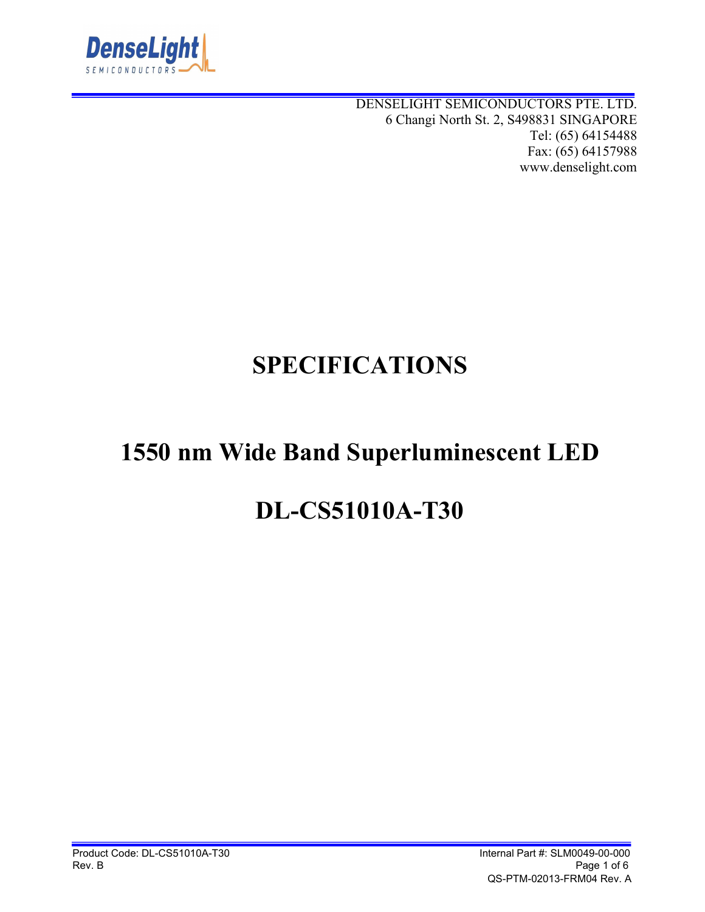

DENSELIGHT SEMICONDUCTORS PTE. LTD. 6 Changi North St. 2, S498831 SINGAPORE Tel: (65) 64154488 Fax: (65) 64157988 www.denselight.com

# **SPECIFICATIONS**

## **1550 nm Wide Band Superluminescent LED**

## **DL-CS51010A-T30**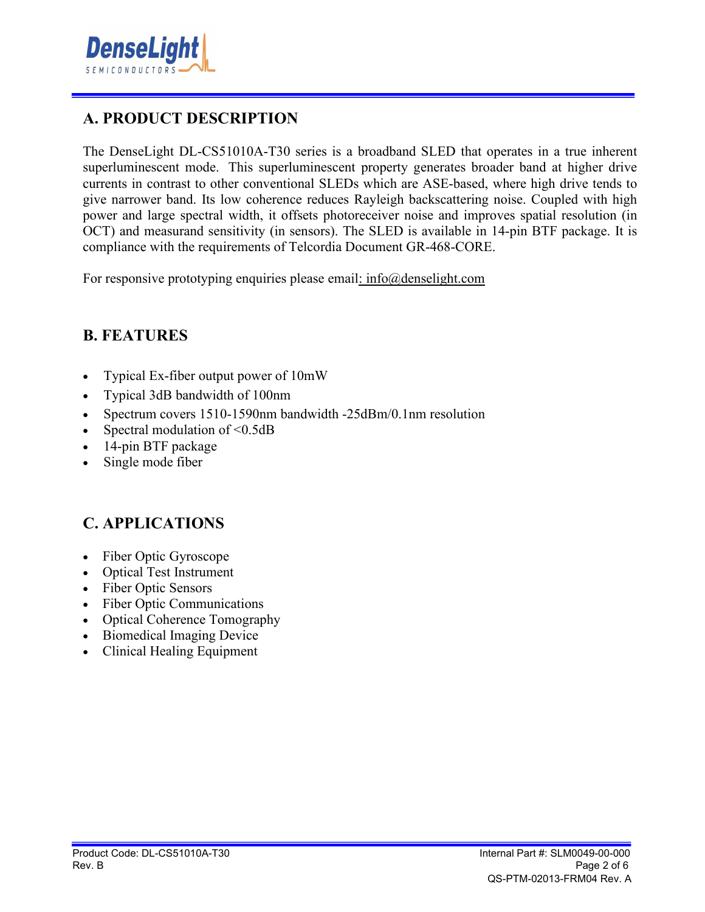

## **A. PRODUCT DESCRIPTION**

The DenseLight DL-CS51010A-T30 series is a broadband SLED that operates in a true inherent superluminescent mode. This superluminescent property generates broader band at higher drive currents in contrast to other conventional SLEDs which are ASE-based, where high drive tends to give narrower band. Its low coherence reduces Rayleigh backscattering noise. Coupled with high power and large spectral width, it offsets photoreceiver noise and improves spatial resolution (in OCT) and measurand sensitivity (in sensors). The SLED is available in 14-pin BTF package. It is compliance with the requirements of Telcordia Document GR-468-CORE.

For responsive prototyping enquiries please email: info@denselight.com

#### **B. FEATURES**

- Typical Ex-fiber output power of 10mW
- Typical 3dB bandwidth of 100nm
- Spectrum covers 1510-1590nm bandwidth -25dBm/0.1nm resolution
- Spectral modulation of  $\leq 0.5dB$
- 14-pin BTF package
- Single mode fiber

#### **C. APPLICATIONS**

- Fiber Optic Gyroscope
- Optical Test Instrument
- Fiber Optic Sensors
- Fiber Optic Communications
- Optical Coherence Tomography
- Biomedical Imaging Device
- Clinical Healing Equipment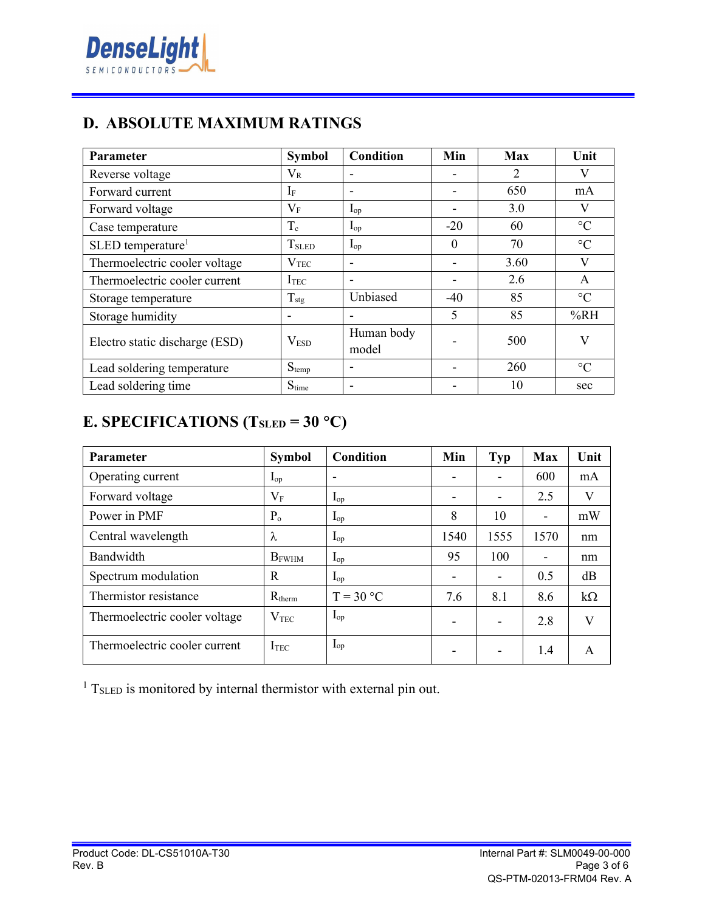

### **D. ABSOLUTE MAXIMUM RATINGS**

| <b>Parameter</b>                | <b>Symbol</b>            | <b>Condition</b>         | Min      | <b>Max</b> | Unit            |
|---------------------------------|--------------------------|--------------------------|----------|------------|-----------------|
| Reverse voltage                 | $\rm V_R$                |                          |          | 2          | V               |
| Forward current                 | 1F                       |                          |          | 650        | mA              |
| Forward voltage                 | $\rm V_F$                | $I_{op}$                 |          | 3.0        | V               |
| Case temperature                | $T_c$                    | $I_{op}$                 | $-20$    | 60         | $\rm ^{\circ}C$ |
| $SLED$ temperature <sup>1</sup> | <b>T</b> <sub>SLED</sub> | $I_{op}$                 | $\Omega$ | 70         | $\rm ^{\circ}C$ |
| Thermoelectric cooler voltage   | $\rm V_{TEC}$            |                          |          | 3.60       | V               |
| Thermoelectric cooler current   | $I_{TEC}$                | $\overline{\phantom{0}}$ |          | 2.6        | A               |
| Storage temperature             | $T_{\text{stg}}$         | Unbiased                 | $-40$    | 85         | $\rm ^{\circ}C$ |
| Storage humidity                |                          |                          | 5        | 85         | %RH             |
| Electro static discharge (ESD)  | V <sub>ESD</sub>         | Human body<br>model      |          | 500        | V               |
| Lead soldering temperature      | $S_{temp}$               | $\overline{\phantom{0}}$ |          | 260        | $\rm ^{\circ}C$ |
| Lead soldering time             | $S_{time}$               |                          |          | 10         | sec             |

## **E. SPECIFICATIONS (T<sub>SLED</sub> = 30 °C)**

| Parameter                     | <b>Symbol</b>     | Condition   | Min                      | <b>Typ</b> | <b>Max</b>               | Unit      |
|-------------------------------|-------------------|-------------|--------------------------|------------|--------------------------|-----------|
| Operating current             | $\mathbf{I}_{op}$ | -           | $\overline{\phantom{a}}$ |            | 600                      | mA        |
| Forward voltage               | $V_{\rm F}$       | $I_{op}$    | -                        |            | 2.5                      | V         |
| Power in PMF                  | $P_{o}$           | $I_{op}$    | 8                        | 10         | $\blacksquare$           | mW        |
| Central wavelength            | λ                 | $I_{op}$    | 1540                     | 1555       | 1570                     | nm        |
| Bandwidth                     | <b>B</b> FWHM     | $I_{op}$    | 95                       | 100        | $\overline{\phantom{a}}$ | nm        |
| Spectrum modulation           | R                 | $I_{op}$    | $\overline{\phantom{a}}$ |            | 0.5                      | dB        |
| Thermistor resistance         | $R_{therm}$       | $T = 30 °C$ | 7.6                      | 8.1        | 8.6                      | $k\Omega$ |
| Thermoelectric cooler voltage | $\rm V_{TEC}$     | $I_{op}$    | -                        |            | 2.8                      | V         |
| Thermoelectric cooler current | I <sub>TEC</sub>  | $I_{op}$    | -                        |            | 1.4                      | A         |

 $1$  T<sub>SLED</sub> is monitored by internal thermistor with external pin out.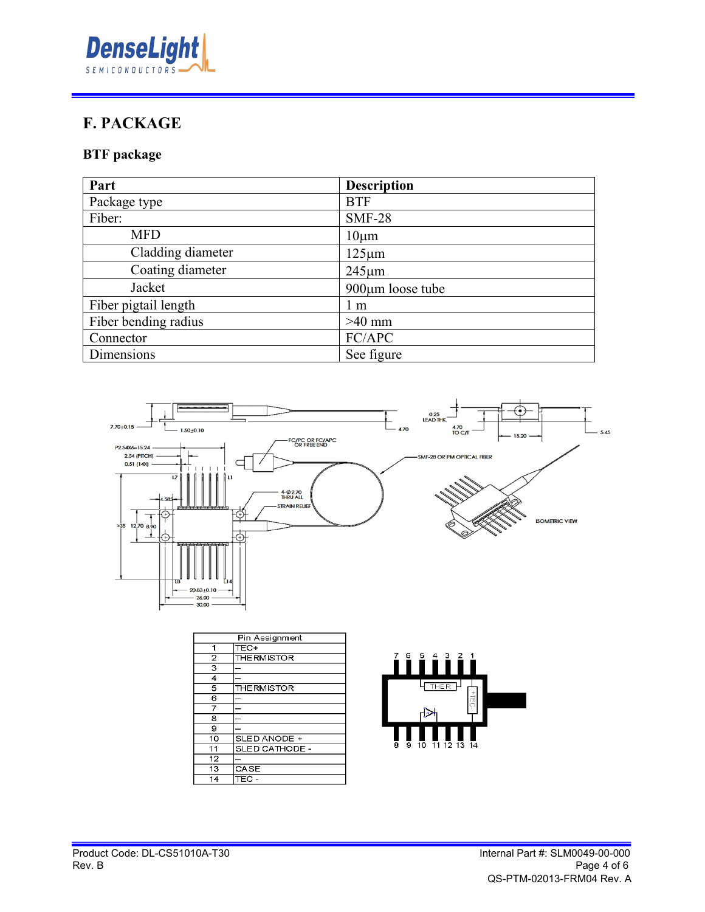

## **F. PACKAGE**

#### **BTF package**

| Part                 | <b>Description</b>     |
|----------------------|------------------------|
| Package type         | <b>BTF</b>             |
| Fiber:               | <b>SMF-28</b>          |
| <b>MFD</b>           | $10 \mu m$             |
| Cladding diameter    | $125 \mu m$            |
| Coating diameter     | $245 \mu m$            |
| Jacket               | $900 \mu m$ loose tube |
| Fiber pigtail length | 1 m                    |
| Fiber bending radius | $>40$ mm               |
| Connector            | FC/APC                 |
| Dimensions           | See figure             |



| Pin Assignment |                |  |
|----------------|----------------|--|
| 1              | TEC+           |  |
| $\overline{2}$ | THERMISTOR     |  |
| 3              |                |  |
| 4              |                |  |
| 5              | THERMISTOR     |  |
| 6              |                |  |
| 7              |                |  |
| 8              |                |  |
| 9              |                |  |
| 10             | SLED ANODE +   |  |
| 11             | SLED CATHODE - |  |
| 12             |                |  |
| 13             | CASE           |  |
| 14             | TEC -          |  |

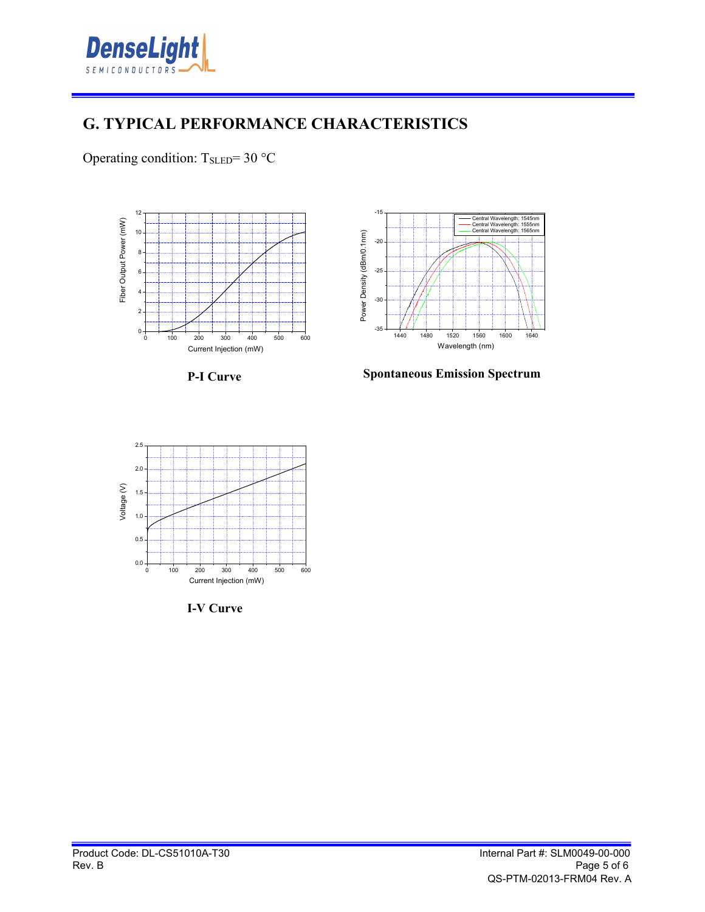

#### **G. TYPICAL PERFORMANCE CHARACTERISTICS**

Operating condition:  $T_{\text{SLED}} = 30$  °C







**Spontaneous Emission Spectrum**



**I-V Curve**